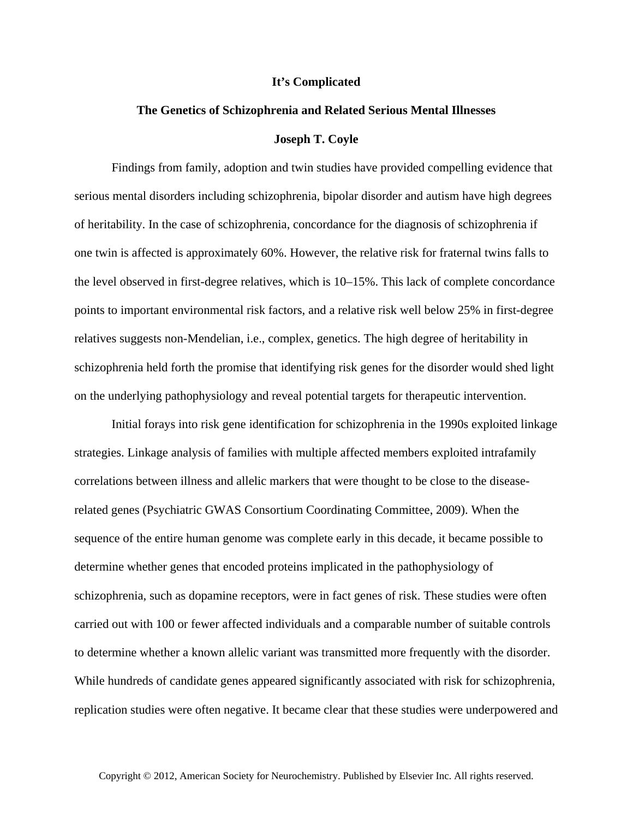## **It's Complicated**

## **The Genetics of Schizophrenia and Related Serious Mental Illnesses Joseph T. Coyle**

Findings from family, adoption and twin studies have provided compelling evidence that serious mental disorders including schizophrenia, bipolar disorder and autism have high degrees of heritability. In the case of schizophrenia, concordance for the diagnosis of schizophrenia if one twin is affected is approximately 60%. However, the relative risk for fraternal twins falls to the level observed in first-degree relatives, which is 10–15%. This lack of complete concordance points to important environmental risk factors, and a relative risk well below 25% in first-degree relatives suggests non-Mendelian, i.e., complex, genetics. The high degree of heritability in schizophrenia held forth the promise that identifying risk genes for the disorder would shed light on the underlying pathophysiology and reveal potential targets for therapeutic intervention.

Initial forays into risk gene identification for schizophrenia in the 1990s exploited linkage strategies. Linkage analysis of families with multiple affected members exploited intrafamily correlations between illness and allelic markers that were thought to be close to the diseaserelated genes (Psychiatric GWAS Consortium Coordinating Committee, 2009). When the sequence of the entire human genome was complete early in this decade, it became possible to determine whether genes that encoded proteins implicated in the pathophysiology of schizophrenia, such as dopamine receptors, were in fact genes of risk. These studies were often carried out with 100 or fewer affected individuals and a comparable number of suitable controls to determine whether a known allelic variant was transmitted more frequently with the disorder. While hundreds of candidate genes appeared significantly associated with risk for schizophrenia, replication studies were often negative. It became clear that these studies were underpowered and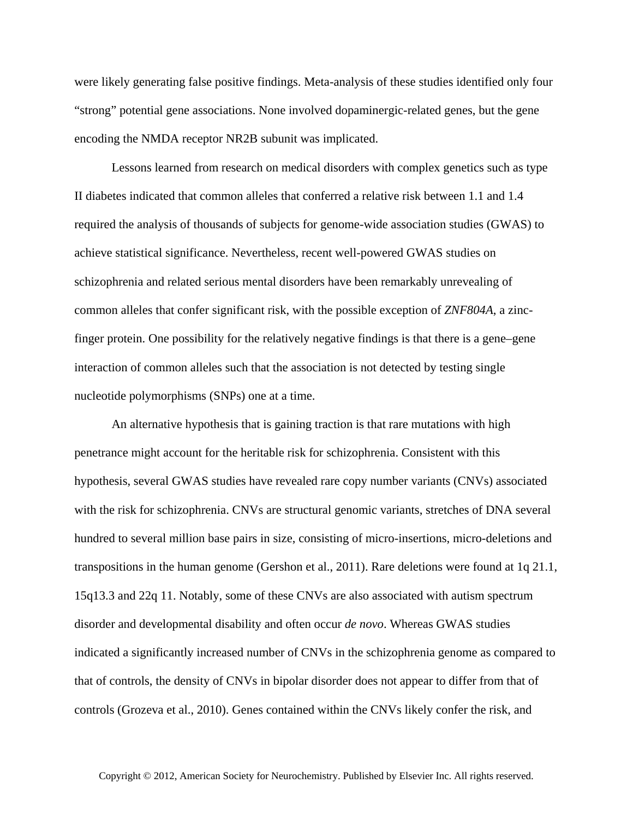were likely generating false positive findings. Meta-analysis of these studies identified only four "strong" potential gene associations. None involved dopaminergic-related genes, but the gene encoding the NMDA receptor NR2B subunit was implicated.

Lessons learned from research on medical disorders with complex genetics such as type II diabetes indicated that common alleles that conferred a relative risk between 1.1 and 1.4 required the analysis of thousands of subjects for genome-wide association studies (GWAS) to achieve statistical significance. Nevertheless, recent well-powered GWAS studies on schizophrenia and related serious mental disorders have been remarkably unrevealing of common alleles that confer significant risk, with the possible exception of *ZNF804A*, a zincfinger protein. One possibility for the relatively negative findings is that there is a gene–gene interaction of common alleles such that the association is not detected by testing single nucleotide polymorphisms (SNPs) one at a time.

An alternative hypothesis that is gaining traction is that rare mutations with high penetrance might account for the heritable risk for schizophrenia. Consistent with this hypothesis, several GWAS studies have revealed rare copy number variants (CNVs) associated with the risk for schizophrenia. CNVs are structural genomic variants, stretches of DNA several hundred to several million base pairs in size, consisting of micro-insertions, micro-deletions and transpositions in the human genome (Gershon et al., 2011). Rare deletions were found at 1q 21.1, 15q13.3 and 22q 11. Notably, some of these CNVs are also associated with autism spectrum disorder and developmental disability and often occur *de novo*. Whereas GWAS studies indicated a significantly increased number of CNVs in the schizophrenia genome as compared to that of controls, the density of CNVs in bipolar disorder does not appear to differ from that of controls (Grozeva et al., 2010). Genes contained within the CNVs likely confer the risk, and